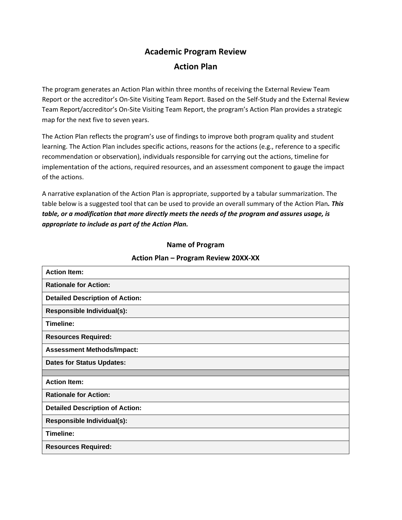## **Academic Program Review Action Plan**

The program generates an Action Plan within three months of receiving the External Review Team Report or the accreditor's On-Site Visiting Team Report. Based on the Self-Study and the External Review Team Report/accreditor's On-Site Visiting Team Report, the program's Action Plan provides a strategic map for the next five to seven years.

The Action Plan reflects the program's use of findings to improve both program quality and student learning. The Action Plan includes specific actions, reasons for the actions (e.g., reference to a specific recommendation or observation), individuals responsible for carrying out the actions, timeline for implementation of the actions, required resources, and an assessment component to gauge the impact of the actions.

A narrative explanation of the Action Plan is appropriate, supported by a tabular summarization. The table below is a suggested tool that can be used to provide an overall summary of the Action Plan*. This table, or a modification that more directly meets the needs of the program and assures usage, is appropriate to include as part of the Action Plan.* 

## **Name of Program**

## **Action Plan – Program Review 20XX-XX**

| <b>Action Item:</b>                    |
|----------------------------------------|
| <b>Rationale for Action:</b>           |
| <b>Detailed Description of Action:</b> |
| Responsible Individual(s):             |
| Timeline:                              |
| <b>Resources Required:</b>             |
| <b>Assessment Methods/Impact:</b>      |
| <b>Dates for Status Updates:</b>       |
|                                        |
| <b>Action Item:</b>                    |
| <b>Rationale for Action:</b>           |
| <b>Detailed Description of Action:</b> |
| Responsible Individual(s):             |
| Timeline:                              |
| <b>Resources Required:</b>             |